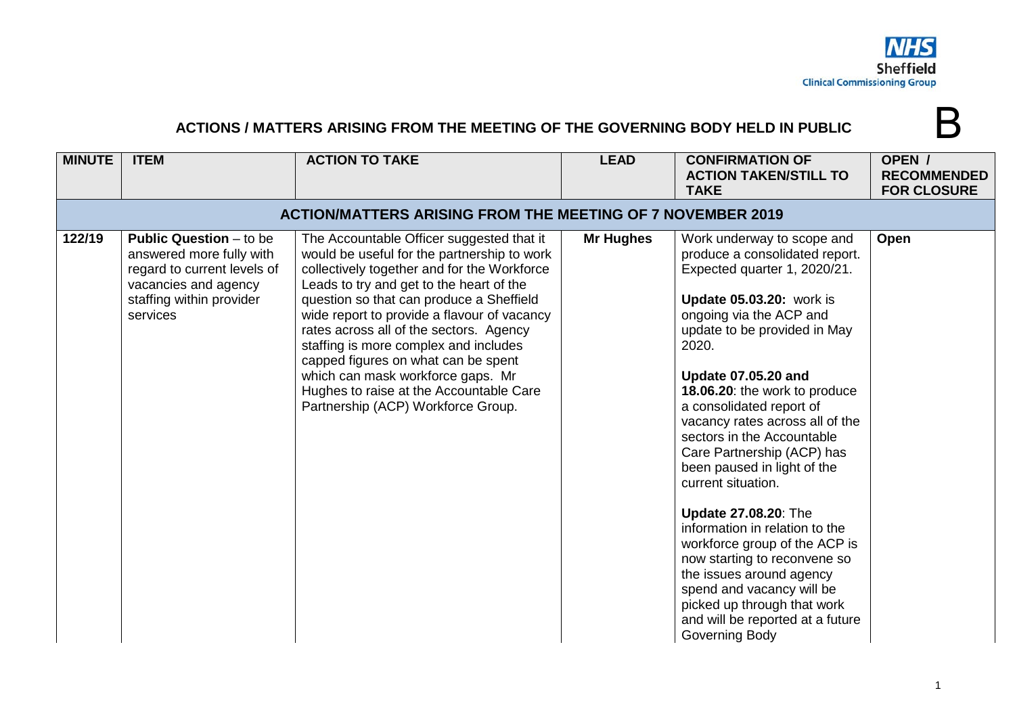

## **ACTIONS / MATTERS ARISING FROM THE MEETING OF THE GOVERNING BODY HELD IN PUBLIC**

| <b>MINUTE</b> | <b>ITEM</b>                                                                                                                                               | <b>ACTION TO TAKE</b>                                                                                                                                                                                                                                                                                                                                                                                                                                                                                                           | <b>LEAD</b>      | <b>CONFIRMATION OF</b><br><b>ACTION TAKEN/STILL TO</b><br><b>TAKE</b>                                                                                                                                                                                                                                                                                                                                                                                                                                                                                                                                                                                                                                                       | OPEN /<br><b>RECOMMENDED</b><br><b>FOR CLOSURE</b> |  |  |
|---------------|-----------------------------------------------------------------------------------------------------------------------------------------------------------|---------------------------------------------------------------------------------------------------------------------------------------------------------------------------------------------------------------------------------------------------------------------------------------------------------------------------------------------------------------------------------------------------------------------------------------------------------------------------------------------------------------------------------|------------------|-----------------------------------------------------------------------------------------------------------------------------------------------------------------------------------------------------------------------------------------------------------------------------------------------------------------------------------------------------------------------------------------------------------------------------------------------------------------------------------------------------------------------------------------------------------------------------------------------------------------------------------------------------------------------------------------------------------------------------|----------------------------------------------------|--|--|
|               | <b>ACTION/MATTERS ARISING FROM THE MEETING OF 7 NOVEMBER 2019</b>                                                                                         |                                                                                                                                                                                                                                                                                                                                                                                                                                                                                                                                 |                  |                                                                                                                                                                                                                                                                                                                                                                                                                                                                                                                                                                                                                                                                                                                             |                                                    |  |  |
| 122/19        | <b>Public Question - to be</b><br>answered more fully with<br>regard to current levels of<br>vacancies and agency<br>staffing within provider<br>services | The Accountable Officer suggested that it<br>would be useful for the partnership to work<br>collectively together and for the Workforce<br>Leads to try and get to the heart of the<br>question so that can produce a Sheffield<br>wide report to provide a flavour of vacancy<br>rates across all of the sectors. Agency<br>staffing is more complex and includes<br>capped figures on what can be spent<br>which can mask workforce gaps. Mr<br>Hughes to raise at the Accountable Care<br>Partnership (ACP) Workforce Group. | <b>Mr Hughes</b> | Work underway to scope and<br>produce a consolidated report.<br>Expected quarter 1, 2020/21.<br><b>Update 05.03.20:</b> work is<br>ongoing via the ACP and<br>update to be provided in May<br>2020.<br><b>Update 07.05.20 and</b><br>18.06.20: the work to produce<br>a consolidated report of<br>vacancy rates across all of the<br>sectors in the Accountable<br>Care Partnership (ACP) has<br>been paused in light of the<br>current situation.<br>Update 27.08.20: The<br>information in relation to the<br>workforce group of the ACP is<br>now starting to reconvene so<br>the issues around agency<br>spend and vacancy will be<br>picked up through that work<br>and will be reported at a future<br>Governing Body | Open                                               |  |  |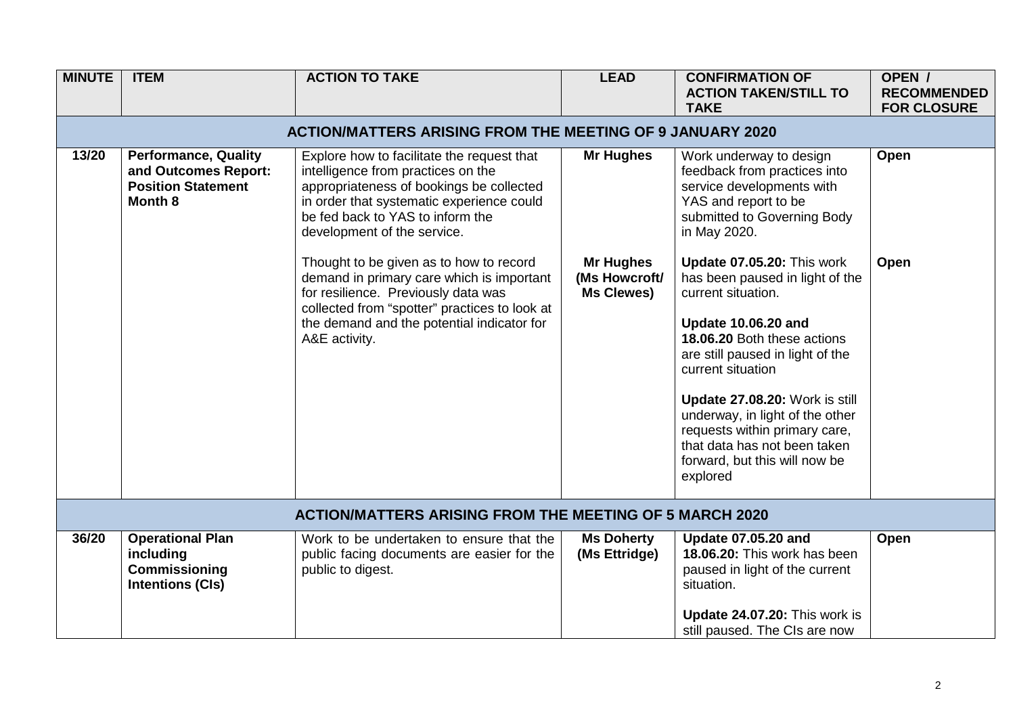| <b>MINUTE</b> | <b>ITEM</b>                                                                                 | <b>ACTION TO TAKE</b>                                                                                                                                                                                                                        | <b>LEAD</b>                                     | <b>CONFIRMATION OF</b><br><b>ACTION TAKEN/STILL TO</b><br><b>TAKE</b>                                                                                                                                                                                                                                                                                                                        | OPEN /<br><b>RECOMMENDED</b><br><b>FOR CLOSURE</b> |  |  |  |
|---------------|---------------------------------------------------------------------------------------------|----------------------------------------------------------------------------------------------------------------------------------------------------------------------------------------------------------------------------------------------|-------------------------------------------------|----------------------------------------------------------------------------------------------------------------------------------------------------------------------------------------------------------------------------------------------------------------------------------------------------------------------------------------------------------------------------------------------|----------------------------------------------------|--|--|--|
|               | <b>ACTION/MATTERS ARISING FROM THE MEETING OF 9 JANUARY 2020</b>                            |                                                                                                                                                                                                                                              |                                                 |                                                                                                                                                                                                                                                                                                                                                                                              |                                                    |  |  |  |
| 13/20         | <b>Performance, Quality</b><br>and Outcomes Report:<br><b>Position Statement</b><br>Month 8 | Explore how to facilitate the request that<br>intelligence from practices on the<br>appropriateness of bookings be collected<br>in order that systematic experience could<br>be fed back to YAS to inform the<br>development of the service. | <b>Mr Hughes</b>                                | Work underway to design<br>feedback from practices into<br>service developments with<br>YAS and report to be<br>submitted to Governing Body<br>in May 2020.                                                                                                                                                                                                                                  | Open                                               |  |  |  |
|               |                                                                                             | Thought to be given as to how to record<br>demand in primary care which is important<br>for resilience. Previously data was<br>collected from "spotter" practices to look at<br>the demand and the potential indicator for<br>A&E activity.  | <b>Mr Hughes</b><br>(Ms Howcroft/<br>Ms Clewes) | Update 07.05.20: This work<br>has been paused in light of the<br>current situation.<br><b>Update 10.06.20 and</b><br>18.06.20 Both these actions<br>are still paused in light of the<br>current situation<br>Update 27.08.20: Work is still<br>underway, in light of the other<br>requests within primary care,<br>that data has not been taken<br>forward, but this will now be<br>explored | Open                                               |  |  |  |
|               | <b>ACTION/MATTERS ARISING FROM THE MEETING OF 5 MARCH 2020</b>                              |                                                                                                                                                                                                                                              |                                                 |                                                                                                                                                                                                                                                                                                                                                                                              |                                                    |  |  |  |
| 36/20         | <b>Operational Plan</b><br>including<br>Commissioning<br><b>Intentions (CIs)</b>            | Work to be undertaken to ensure that the<br>public facing documents are easier for the<br>public to digest.                                                                                                                                  | <b>Ms Doherty</b><br>(Ms Ettridge)              | <b>Update 07.05.20 and</b><br>18.06.20: This work has been<br>paused in light of the current<br>situation.<br>Update 24.07.20: This work is<br>still paused. The CIs are now                                                                                                                                                                                                                 | Open                                               |  |  |  |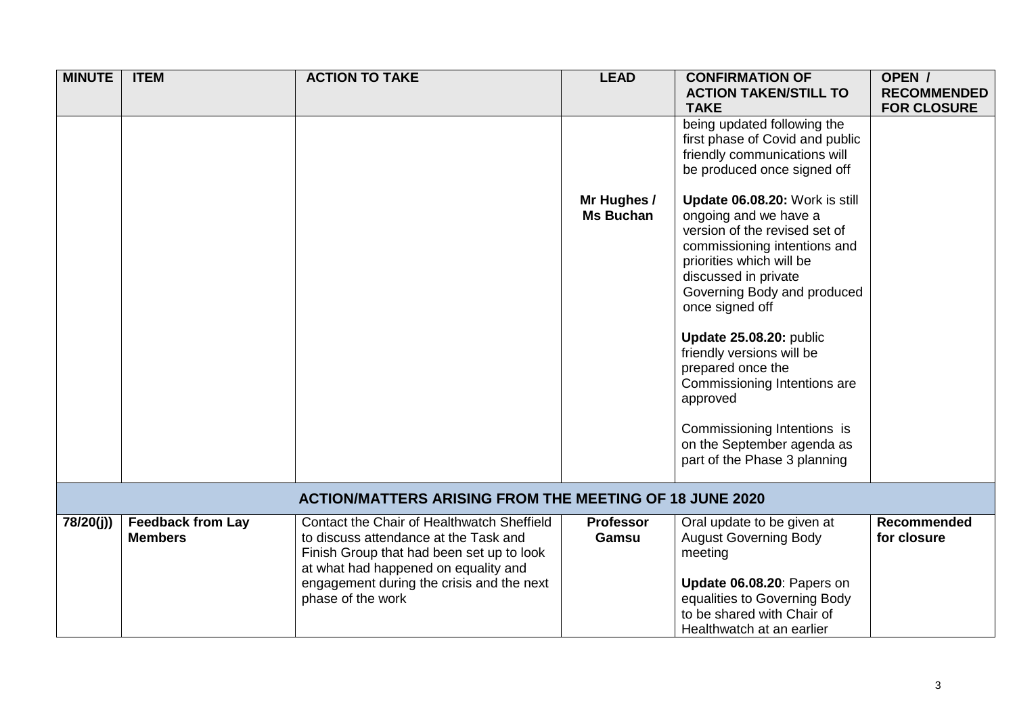| <b>MINUTE</b>                                                  | <b>ITEM</b>                                | <b>ACTION TO TAKE</b>                                                                                                                                                                                                                      | <b>LEAD</b>                     | <b>CONFIRMATION OF</b><br><b>ACTION TAKEN/STILL TO</b><br><b>TAKE</b>                                                                                                                                                                                                                                                                                                                                                                                | OPEN /<br><b>RECOMMENDED</b><br><b>FOR CLOSURE</b> |  |
|----------------------------------------------------------------|--------------------------------------------|--------------------------------------------------------------------------------------------------------------------------------------------------------------------------------------------------------------------------------------------|---------------------------------|------------------------------------------------------------------------------------------------------------------------------------------------------------------------------------------------------------------------------------------------------------------------------------------------------------------------------------------------------------------------------------------------------------------------------------------------------|----------------------------------------------------|--|
|                                                                |                                            |                                                                                                                                                                                                                                            |                                 | being updated following the<br>first phase of Covid and public<br>friendly communications will<br>be produced once signed off                                                                                                                                                                                                                                                                                                                        |                                                    |  |
|                                                                |                                            |                                                                                                                                                                                                                                            | Mr Hughes /<br><b>Ms Buchan</b> | Update 06.08.20: Work is still<br>ongoing and we have a<br>version of the revised set of<br>commissioning intentions and<br>priorities which will be<br>discussed in private<br>Governing Body and produced<br>once signed off<br>Update 25.08.20: public<br>friendly versions will be<br>prepared once the<br>Commissioning Intentions are<br>approved<br>Commissioning Intentions is<br>on the September agenda as<br>part of the Phase 3 planning |                                                    |  |
| <b>ACTION/MATTERS ARISING FROM THE MEETING OF 18 JUNE 2020</b> |                                            |                                                                                                                                                                                                                                            |                                 |                                                                                                                                                                                                                                                                                                                                                                                                                                                      |                                                    |  |
| 78/20(j))                                                      | <b>Feedback from Lay</b><br><b>Members</b> | Contact the Chair of Healthwatch Sheffield<br>to discuss attendance at the Task and<br>Finish Group that had been set up to look<br>at what had happened on equality and<br>engagement during the crisis and the next<br>phase of the work | <b>Professor</b><br>Gamsu       | Oral update to be given at<br><b>August Governing Body</b><br>meeting<br>Update 06.08.20: Papers on<br>equalities to Governing Body<br>to be shared with Chair of<br>Healthwatch at an earlier                                                                                                                                                                                                                                                       | <b>Recommended</b><br>for closure                  |  |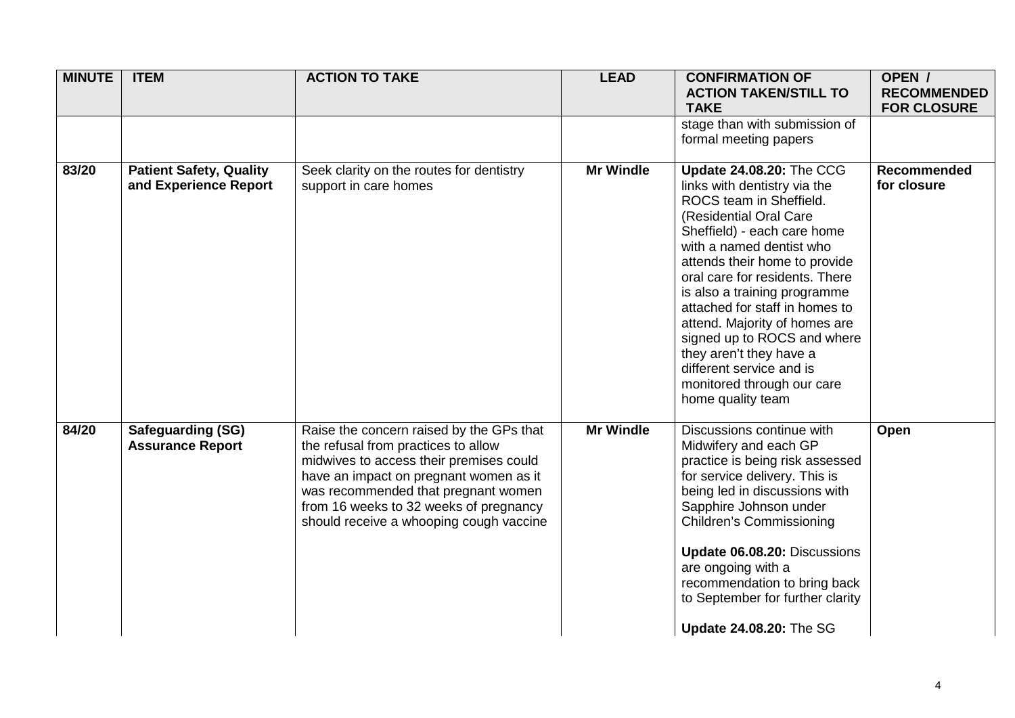| <b>MINUTE</b> | <b>ITEM</b>                                             | <b>ACTION TO TAKE</b>                                                                                                                                                                                                                                                                            | <b>LEAD</b>      | <b>CONFIRMATION OF</b><br><b>ACTION TAKEN/STILL TO</b><br><b>TAKE</b>                                                                                                                                                                                                                                                                                                                                                                                                                          | OPEN /<br><b>RECOMMENDED</b><br><b>FOR CLOSURE</b> |
|---------------|---------------------------------------------------------|--------------------------------------------------------------------------------------------------------------------------------------------------------------------------------------------------------------------------------------------------------------------------------------------------|------------------|------------------------------------------------------------------------------------------------------------------------------------------------------------------------------------------------------------------------------------------------------------------------------------------------------------------------------------------------------------------------------------------------------------------------------------------------------------------------------------------------|----------------------------------------------------|
|               |                                                         |                                                                                                                                                                                                                                                                                                  |                  | stage than with submission of<br>formal meeting papers                                                                                                                                                                                                                                                                                                                                                                                                                                         |                                                    |
| 83/20         | <b>Patient Safety, Quality</b><br>and Experience Report | Seek clarity on the routes for dentistry<br>support in care homes                                                                                                                                                                                                                                | <b>Mr Windle</b> | <b>Update 24.08.20: The CCG</b><br>links with dentistry via the<br>ROCS team in Sheffield.<br>(Residential Oral Care<br>Sheffield) - each care home<br>with a named dentist who<br>attends their home to provide<br>oral care for residents. There<br>is also a training programme<br>attached for staff in homes to<br>attend. Majority of homes are<br>signed up to ROCS and where<br>they aren't they have a<br>different service and is<br>monitored through our care<br>home quality team | <b>Recommended</b><br>for closure                  |
| 84/20         | <b>Safeguarding (SG)</b><br><b>Assurance Report</b>     | Raise the concern raised by the GPs that<br>the refusal from practices to allow<br>midwives to access their premises could<br>have an impact on pregnant women as it<br>was recommended that pregnant women<br>from 16 weeks to 32 weeks of pregnancy<br>should receive a whooping cough vaccine | <b>Mr Windle</b> | Discussions continue with<br>Midwifery and each GP<br>practice is being risk assessed<br>for service delivery. This is<br>being led in discussions with<br>Sapphire Johnson under<br><b>Children's Commissioning</b><br>Update 06.08.20: Discussions<br>are ongoing with a<br>recommendation to bring back<br>to September for further clarity<br><b>Update 24.08.20: The SG</b>                                                                                                               | Open                                               |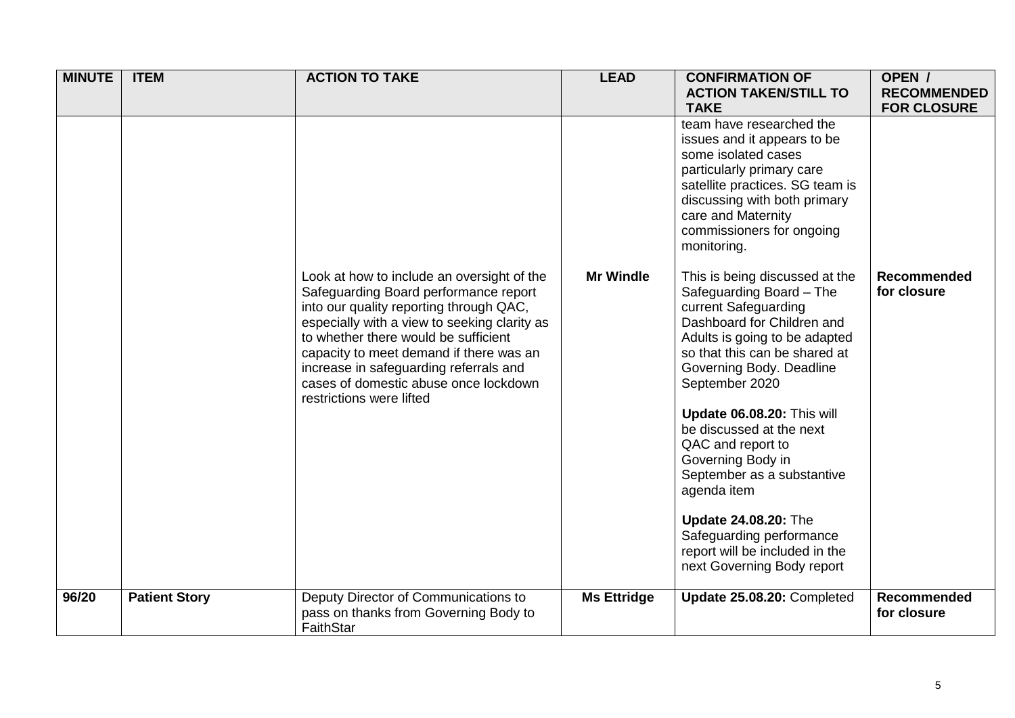| <b>MINUTE</b> | <b>ITEM</b>          | <b>ACTION TO TAKE</b>                                                                                                                                                                                                                                             | <b>LEAD</b>        | <b>CONFIRMATION OF</b><br><b>ACTION TAKEN/STILL TO</b><br><b>TAKE</b>                                                                                                                                                                                                                                                                                                                                                                  | OPEN /<br><b>RECOMMENDED</b><br><b>FOR CLOSURE</b> |
|---------------|----------------------|-------------------------------------------------------------------------------------------------------------------------------------------------------------------------------------------------------------------------------------------------------------------|--------------------|----------------------------------------------------------------------------------------------------------------------------------------------------------------------------------------------------------------------------------------------------------------------------------------------------------------------------------------------------------------------------------------------------------------------------------------|----------------------------------------------------|
|               |                      | Look at how to include an oversight of the<br>Safeguarding Board performance report<br>into our quality reporting through QAC,<br>especially with a view to seeking clarity as<br>to whether there would be sufficient<br>capacity to meet demand if there was an | <b>Mr Windle</b>   | team have researched the<br>issues and it appears to be<br>some isolated cases<br>particularly primary care<br>satellite practices. SG team is<br>discussing with both primary<br>care and Maternity<br>commissioners for ongoing<br>monitoring.<br>This is being discussed at the<br>Safeguarding Board - The<br>current Safeguarding<br>Dashboard for Children and<br>Adults is going to be adapted<br>so that this can be shared at | <b>Recommended</b><br>for closure                  |
|               |                      | increase in safeguarding referrals and<br>cases of domestic abuse once lockdown<br>restrictions were lifted                                                                                                                                                       |                    | Governing Body. Deadline<br>September 2020<br>Update 06.08.20: This will<br>be discussed at the next<br>QAC and report to<br>Governing Body in<br>September as a substantive<br>agenda item<br><b>Update 24.08.20: The</b><br>Safeguarding performance<br>report will be included in the<br>next Governing Body report                                                                                                                 |                                                    |
| 96/20         | <b>Patient Story</b> | Deputy Director of Communications to<br>pass on thanks from Governing Body to<br>FaithStar                                                                                                                                                                        | <b>Ms Ettridge</b> | Update 25.08.20: Completed                                                                                                                                                                                                                                                                                                                                                                                                             | Recommended<br>for closure                         |